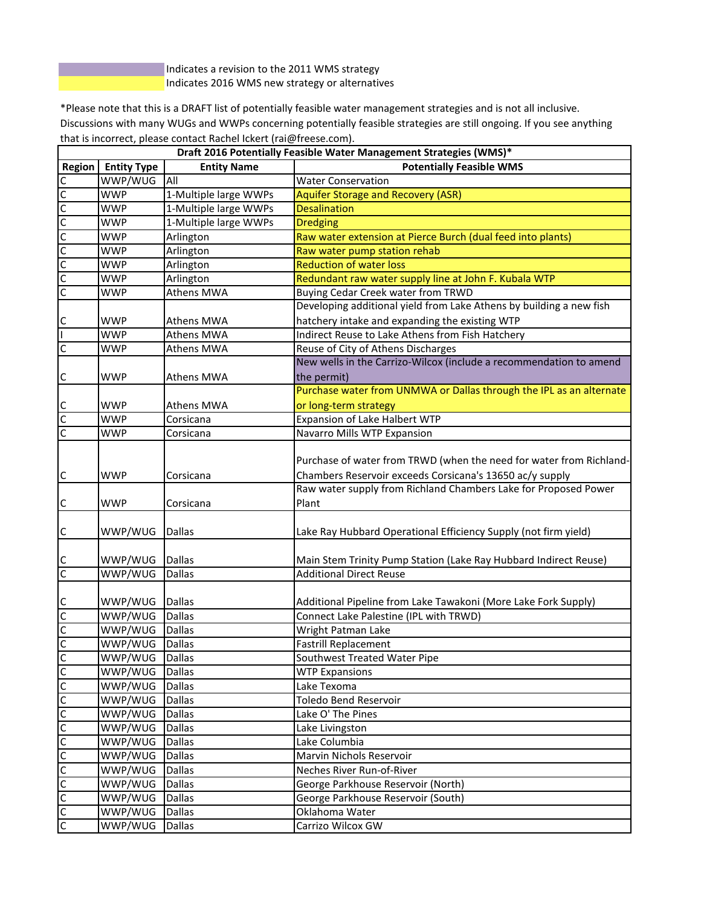Indicates a revision to the 2011 WMS strategy Indicates 2016 WMS new strategy or alternatives

\*Please note that this is a DRAFT list of potentially feasible water management strategies and is not all inclusive. Discussions with many WUGs and WWPs concerning potentially feasible strategies are still ongoing. If you see anything that is incorrect, please contact Rachel Ickert (rai@freese.com).

|                      | Draft 2016 Potentially Feasible Water Management Strategies (WMS)* |                                |                                                                     |  |
|----------------------|--------------------------------------------------------------------|--------------------------------|---------------------------------------------------------------------|--|
| Region               | <b>Entity Type</b>                                                 | <b>Entity Name</b>             | <b>Potentially Feasible WMS</b>                                     |  |
|                      | WWP/WUG                                                            | All                            | <b>Water Conservation</b>                                           |  |
| <u>ululululululu</u> | <b>WWP</b>                                                         | 1-Multiple large WWPs          | <b>Aquifer Storage and Recovery (ASR)</b>                           |  |
|                      | <b>WWP</b>                                                         | 1-Multiple large WWPs          | <b>Desalination</b>                                                 |  |
|                      | WWP                                                                | 1-Multiple large WWPs          | <b>Dredging</b>                                                     |  |
|                      | <b>WWP</b>                                                         | Arlington                      | Raw water extension at Pierce Burch (dual feed into plants)         |  |
|                      | <b>WWP</b>                                                         | Arlington                      | Raw water pump station rehab                                        |  |
|                      | <b>WWP</b>                                                         | Arlington                      | <b>Reduction of water loss</b>                                      |  |
|                      | <b>WWP</b>                                                         | Arlington                      | Redundant raw water supply line at John F. Kubala WTP               |  |
|                      | <b>WWP</b>                                                         | Athens MWA                     | Buying Cedar Creek water from TRWD                                  |  |
|                      |                                                                    |                                | Developing additional yield from Lake Athens by building a new fish |  |
|                      | <b>WWP</b>                                                         | Athens MWA                     | hatchery intake and expanding the existing WTP                      |  |
| $\frac{c}{1}$        | <b>WWP</b>                                                         | Athens MWA                     | Indirect Reuse to Lake Athens from Fish Hatchery                    |  |
| $\overline{c}$       | <b>WWP</b>                                                         | Athens MWA                     | Reuse of City of Athens Discharges                                  |  |
|                      |                                                                    |                                | New wells in the Carrizo-Wilcox (include a recommendation to amend  |  |
| $\overline{C}$       | <b>WWP</b>                                                         | Athens MWA                     | the permit)                                                         |  |
|                      |                                                                    |                                | Purchase water from UNMWA or Dallas through the IPL as an alternate |  |
|                      | <b>WWP</b>                                                         | <b>Athens MWA</b>              | or long-term strategy                                               |  |
| $\frac{c}{c}$        | <b>WWP</b>                                                         | Corsicana                      | Expansion of Lake Halbert WTP                                       |  |
| C                    | <b>WWP</b>                                                         | Corsicana                      | Navarro Mills WTP Expansion                                         |  |
|                      |                                                                    |                                |                                                                     |  |
|                      |                                                                    |                                | Purchase of water from TRWD (when the need for water from Richland- |  |
| $\overline{c}$       | <b>WWP</b>                                                         | Corsicana                      | Chambers Reservoir exceeds Corsicana's 13650 ac/y supply            |  |
|                      |                                                                    |                                | Raw water supply from Richland Chambers Lake for Proposed Power     |  |
| $\mathsf{C}$         | <b>WWP</b>                                                         | Corsicana                      | Plant                                                               |  |
|                      |                                                                    |                                |                                                                     |  |
|                      | WWP/WUG                                                            | <b>Dallas</b>                  | Lake Ray Hubbard Operational Efficiency Supply (not firm yield)     |  |
| $\overline{c}$       |                                                                    |                                |                                                                     |  |
|                      | WWP/WUG                                                            | <b>Dallas</b>                  | Main Stem Trinity Pump Station (Lake Ray Hubbard Indirect Reuse)    |  |
| o<br>o               | WWP/WUG                                                            | Dallas                         | <b>Additional Direct Reuse</b>                                      |  |
|                      |                                                                    |                                |                                                                     |  |
|                      | WWP/WUG                                                            | Dallas                         | Additional Pipeline from Lake Tawakoni (More Lake Fork Supply)      |  |
|                      | WWP/WUG                                                            | <b>Dallas</b>                  | Connect Lake Palestine (IPL with TRWD)                              |  |
| $\frac{1}{2}$        | WWP/WUG                                                            | <b>Dallas</b>                  | Wright Patman Lake                                                  |  |
|                      | WWP/WUG                                                            | <b>Dallas</b>                  | <b>Fastrill Replacement</b>                                         |  |
|                      | WWP/WUG Dallas                                                     |                                | Southwest Treated Water Pipe                                        |  |
| 0                    | WWP/WUG                                                            | Dallas                         | <b>WTP Expansions</b>                                               |  |
| C                    | WWP/WUG                                                            | <b>Dallas</b>                  | Lake Texoma                                                         |  |
| $\overline{c}$       | WWP/WUG                                                            | <b>Dallas</b>                  | Toledo Bend Reservoir                                               |  |
|                      |                                                                    |                                |                                                                     |  |
| <u>u</u>             | WWP/WUG                                                            | <b>Dallas</b>                  | Lake O' The Pines                                                   |  |
| C                    | WWP/WUG                                                            | <b>Dallas</b><br><b>Dallas</b> | Lake Livingston<br>Lake Columbia                                    |  |
|                      | WWP/WUG                                                            |                                |                                                                     |  |
|                      | WWP/WUG                                                            | <b>Dallas</b>                  | Marvin Nichols Reservoir                                            |  |
|                      | WWP/WUG                                                            | <b>Dallas</b>                  | Neches River Run-of-River                                           |  |
|                      | WWP/WUG                                                            | <b>Dallas</b>                  | George Parkhouse Reservoir (North)                                  |  |
|                      | WWP/WUG                                                            | <b>Dallas</b>                  | George Parkhouse Reservoir (South)                                  |  |
|                      | WWP/WUG                                                            | Dallas                         | Oklahoma Water                                                      |  |
|                      | WWP/WUG                                                            | <b>Dallas</b>                  | Carrizo Wilcox GW                                                   |  |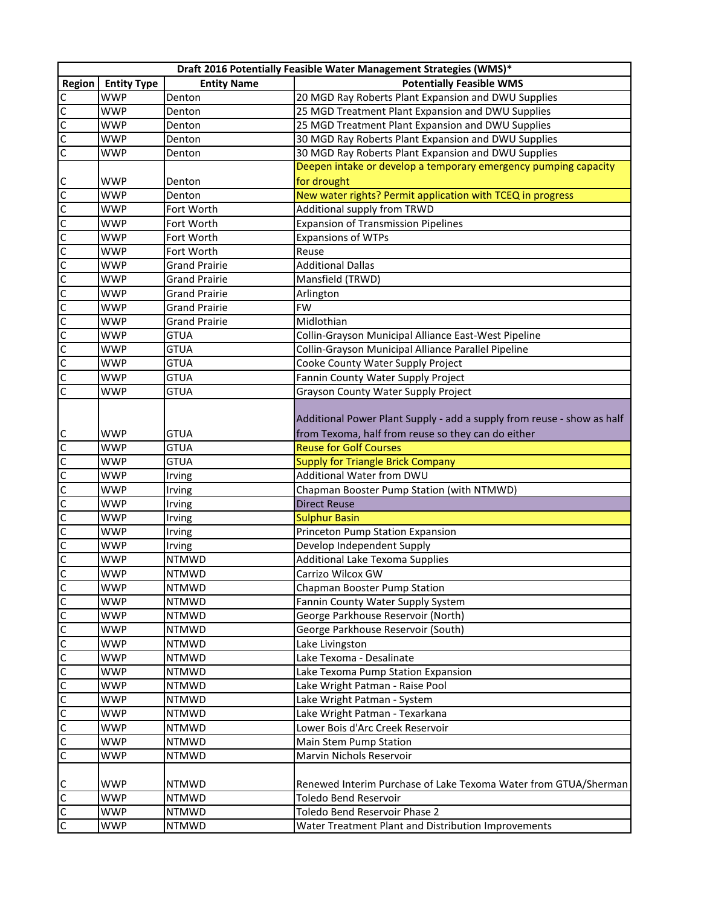|                            |                    |                      | Draft 2016 Potentially Feasible Water Management Strategies (WMS)*     |
|----------------------------|--------------------|----------------------|------------------------------------------------------------------------|
| Region                     | <b>Entity Type</b> | <b>Entity Name</b>   | <b>Potentially Feasible WMS</b>                                        |
|                            | <b>WWP</b>         | Denton               | 20 MGD Ray Roberts Plant Expansion and DWU Supplies                    |
|                            | <b>WWP</b>         | Denton               | 25 MGD Treatment Plant Expansion and DWU Supplies                      |
|                            | WWP                | Denton               | 25 MGD Treatment Plant Expansion and DWU Supplies                      |
| $\frac{1}{2}$              | <b>WWP</b>         | Denton               | 30 MGD Ray Roberts Plant Expansion and DWU Supplies                    |
|                            | WWP                | Denton               | 30 MGD Ray Roberts Plant Expansion and DWU Supplies                    |
|                            |                    |                      | Deepen intake or develop a temporary emergency pumping capacity        |
|                            | <b>WWP</b>         | Denton               | for drought                                                            |
| ululululululululu          | <b>WWP</b>         | Denton               | New water rights? Permit application with TCEQ in progress             |
|                            | <b>WWP</b>         | Fort Worth           | <b>Additional supply from TRWD</b>                                     |
|                            | <b>WWP</b>         | Fort Worth           | <b>Expansion of Transmission Pipelines</b>                             |
|                            | <b>WWP</b>         | Fort Worth           | <b>Expansions of WTPs</b>                                              |
|                            | <b>WWP</b>         | Fort Worth           | Reuse                                                                  |
|                            | <b>WWP</b>         | <b>Grand Prairie</b> | <b>Additional Dallas</b>                                               |
|                            | <b>WWP</b>         | <b>Grand Prairie</b> | Mansfield (TRWD)                                                       |
|                            | <b>WWP</b>         | <b>Grand Prairie</b> | Arlington                                                              |
|                            | <b>WWP</b>         | <b>Grand Prairie</b> | <b>FW</b>                                                              |
|                            | <b>WWP</b>         | <b>Grand Prairie</b> | Midlothian                                                             |
|                            | <b>WWP</b>         | <b>GTUA</b>          | Collin-Grayson Municipal Alliance East-West Pipeline                   |
|                            | <b>WWP</b>         | <b>GTUA</b>          | Collin-Grayson Municipal Alliance Parallel Pipeline                    |
|                            | <b>WWP</b>         | <b>GTUA</b>          | Cooke County Water Supply Project                                      |
| C C C C<br> C C C          | <b>WWP</b>         | <b>GTUA</b>          | Fannin County Water Supply Project                                     |
|                            | <b>WWP</b>         | <b>GTUA</b>          | Grayson County Water Supply Project                                    |
|                            |                    |                      | Additional Power Plant Supply - add a supply from reuse - show as half |
|                            | WWP                | <b>GTUA</b>          | from Texoma, half from reuse so they can do either                     |
|                            | WWP                | <b>GTUA</b>          | <b>Reuse for Golf Courses</b>                                          |
|                            | WWP                | <b>GTUA</b>          | <b>Supply for Triangle Brick Company</b>                               |
|                            | WWP                | Irving               | Additional Water from DWU                                              |
|                            | <b>WWP</b>         | Irving               | Chapman Booster Pump Station (with NTMWD)                              |
|                            | WWP                | Irving               | <b>Direct Reuse</b>                                                    |
|                            | <b>WWP</b>         | Irving               | <b>Sulphur Basin</b>                                                   |
| <u>ulululululululululu</u> | <b>WWP</b>         | Irving               | Princeton Pump Station Expansion                                       |
|                            | <b>WWP</b>         | Irving               | Develop Independent Supply                                             |
|                            | <b>WWP</b>         | <b>NTMWD</b>         | Additional Lake Texoma Supplies                                        |
|                            | <b>WWP</b>         | <b>NTMWD</b>         | Carrizo Wilcox GW                                                      |
|                            | WWP                | <b>NTMWD</b>         | Chapman Booster Pump Station                                           |
|                            | <b>WWP</b>         | <b>NTMWD</b>         | Fannin County Water Supply System                                      |
| ں اب                       | <b>WWP</b>         | <b>NTMWD</b>         | George Parkhouse Reservoir (North)                                     |
|                            | <b>WWP</b>         | <b>NTMWD</b>         | George Parkhouse Reservoir (South)                                     |
| $\overline{c}$             | <b>WWP</b>         | <b>NTMWD</b>         | Lake Livingston                                                        |
| $\overline{c}$             | <b>WWP</b>         | <b>NTMWD</b>         | Lake Texoma - Desalinate                                               |
| $\overline{c}$             | <b>WWP</b>         | <b>NTMWD</b>         | Lake Texoma Pump Station Expansion                                     |
|                            | WWP                | <b>NTMWD</b>         | Lake Wright Patman - Raise Pool                                        |
|                            | <b>WWP</b>         | <b>NTMWD</b>         | Lake Wright Patman - System                                            |
| 0 0 0 0                    | <b>WWP</b>         | <b>NTMWD</b>         | Lake Wright Patman - Texarkana                                         |
|                            | <b>WWP</b>         | <b>NTMWD</b>         | Lower Bois d'Arc Creek Reservoir                                       |
|                            | <b>WWP</b>         | <b>NTMWD</b>         | Main Stem Pump Station                                                 |
|                            | WWP                | <b>NTMWD</b>         | Marvin Nichols Reservoir                                               |
|                            | WWP                | <b>NTMWD</b>         | Renewed Interim Purchase of Lake Texoma Water from GTUA/Sherman        |
| $\frac{1}{2}$              | <b>WWP</b>         | <b>NTMWD</b>         | Toledo Bend Reservoir                                                  |
|                            | WWP                | <b>NTMWD</b>         | Toledo Bend Reservoir Phase 2                                          |
|                            | WWP                | <b>NTMWD</b>         | Water Treatment Plant and Distribution Improvements                    |
|                            |                    |                      |                                                                        |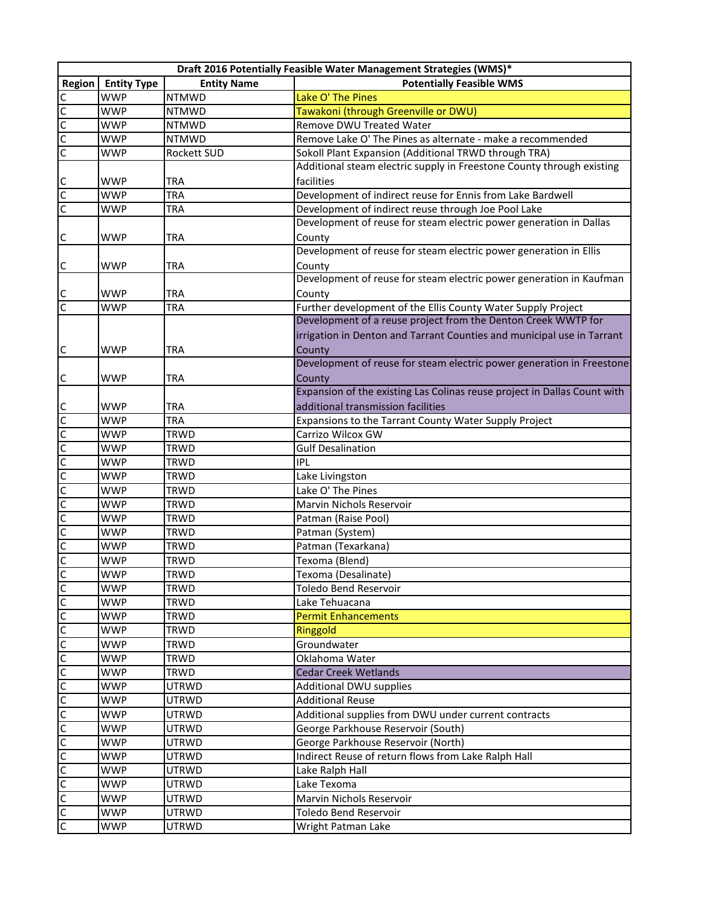|                                |                    |                    | Draft 2016 Potentially Feasible Water Management Strategies (WMS)*                 |
|--------------------------------|--------------------|--------------------|------------------------------------------------------------------------------------|
| Region                         | <b>Entity Type</b> | <b>Entity Name</b> | <b>Potentially Feasible WMS</b>                                                    |
|                                | <b>WWP</b>         | <b>NTMWD</b>       | Lake O' The Pines                                                                  |
|                                | WWP                | <b>NTMWD</b>       | Tawakoni (through Greenville or DWU)                                               |
|                                | <b>WWP</b>         | <b>NTMWD</b>       | Remove DWU Treated Water                                                           |
| $\frac{1}{2}$                  | <b>WWP</b>         | <b>NTMWD</b>       | Remove Lake O' The Pines as alternate - make a recommended                         |
|                                | <b>WWP</b>         | Rockett SUD        | Sokoll Plant Expansion (Additional TRWD through TRA)                               |
|                                |                    |                    | Additional steam electric supply in Freestone County through existing              |
|                                | <b>WWP</b>         | <b>TRA</b>         | facilities                                                                         |
|                                | <b>WWP</b>         | <b>TRA</b>         | Development of indirect reuse for Ennis from Lake Bardwell                         |
| ulu                            | <b>WWP</b>         | <b>TRA</b>         | Development of indirect reuse through Joe Pool Lake                                |
|                                |                    |                    | Development of reuse for steam electric power generation in Dallas                 |
| $\mathsf{C}$                   | <b>WWP</b>         | <b>TRA</b>         | County                                                                             |
|                                |                    |                    | Development of reuse for steam electric power generation in Ellis                  |
| $\mathsf{C}$                   | WWP                | <b>TRA</b>         | County                                                                             |
|                                |                    |                    | Development of reuse for steam electric power generation in Kaufman                |
| C                              | <b>WWP</b>         | <b>TRA</b>         | County                                                                             |
| $\overline{c}$                 | WWP                | <b>TRA</b>         | Further development of the Ellis County Water Supply Project                       |
|                                |                    |                    | Development of a reuse project from the Denton Creek WWTP for                      |
|                                |                    |                    | irrigation in Denton and Tarrant Counties and municipal use in Tarrant             |
| $\mathsf{C}$                   | <b>WWP</b>         | TRA                | County                                                                             |
|                                |                    |                    | Development of reuse for steam electric power generation in Freestone              |
|                                | <b>WWP</b>         |                    |                                                                                    |
| $\mathsf{C}$                   |                    | <b>TRA</b>         | County<br>Expansion of the existing Las Colinas reuse project in Dallas Count with |
|                                |                    |                    |                                                                                    |
|                                | WWP                | <b>TRA</b>         | additional transmission facilities                                                 |
|                                | <b>WWP</b>         | <b>TRA</b>         | Expansions to the Tarrant County Water Supply Project                              |
|                                | <b>WWP</b>         | <b>TRWD</b>        | Carrizo Wilcox GW                                                                  |
|                                | <b>WWP</b>         | <b>TRWD</b>        | <b>Gulf Desalination</b>                                                           |
| <u>ololololololololololo</u>   | <b>WWP</b>         | <b>TRWD</b>        | <b>IPL</b>                                                                         |
|                                | <b>WWP</b>         | <b>TRWD</b>        | Lake Livingston                                                                    |
|                                | <b>WWP</b>         | <b>TRWD</b>        | Lake O' The Pines                                                                  |
|                                | <b>WWP</b>         | <b>TRWD</b>        | Marvin Nichols Reservoir                                                           |
|                                | <b>WWP</b>         | <b>TRWD</b>        | Patman (Raise Pool)                                                                |
|                                | <b>WWP</b>         | <b>TRWD</b>        | Patman (System)                                                                    |
|                                | <b>WWP</b>         | <b>TRWD</b>        | Patman (Texarkana)                                                                 |
|                                | <b>WWP</b>         | <b>TRWD</b>        | Texoma (Blend)                                                                     |
|                                | <b>WWP</b>         | TRWD               | Texoma (Desalinate)                                                                |
|                                | <b>WWP</b>         | <b>TRWD</b>        | Toledo Bend Reservoir                                                              |
| $\overline{C}$                 | <b>WWP</b>         | <b>TRWD</b>        | Lake Tehuacana                                                                     |
| $\overline{C}$                 | <b>WWP</b>         | <b>TRWD</b>        | <b>Permit Enhancements</b>                                                         |
|                                | WWP                | <b>TRWD</b>        | Ringgold                                                                           |
|                                | <b>WWP</b>         | <b>TRWD</b>        | Groundwater                                                                        |
|                                | <b>WWP</b>         | <b>TRWD</b>        | Oklahoma Water                                                                     |
|                                | <b>WWP</b>         | <b>TRWD</b>        | <b>Cedar Creek Wetlands</b>                                                        |
|                                | <b>WWP</b>         | UTRWD              | <b>Additional DWU supplies</b>                                                     |
|                                | WWP                | UTRWD              | <b>Additional Reuse</b>                                                            |
|                                | WWP                | UTRWD              | Additional supplies from DWU under current contracts                               |
|                                | WWP                | UTRWD              | George Parkhouse Reservoir (South)                                                 |
|                                | WWP                | UTRWD              | George Parkhouse Reservoir (North)                                                 |
|                                | WWP                | UTRWD              | Indirect Reuse of return flows from Lake Ralph Hall                                |
|                                | <b>WWP</b>         | UTRWD              | Lake Ralph Hall                                                                    |
|                                | WWP                | UTRWD              | Lake Texoma                                                                        |
|                                | WWP                | UTRWD              | Marvin Nichols Reservoir                                                           |
|                                | <b>WWP</b>         | <b>UTRWD</b>       | Toledo Bend Reservoir                                                              |
| <u>ulululululululululululu</u> | WWP                | <b>UTRWD</b>       | Wright Patman Lake                                                                 |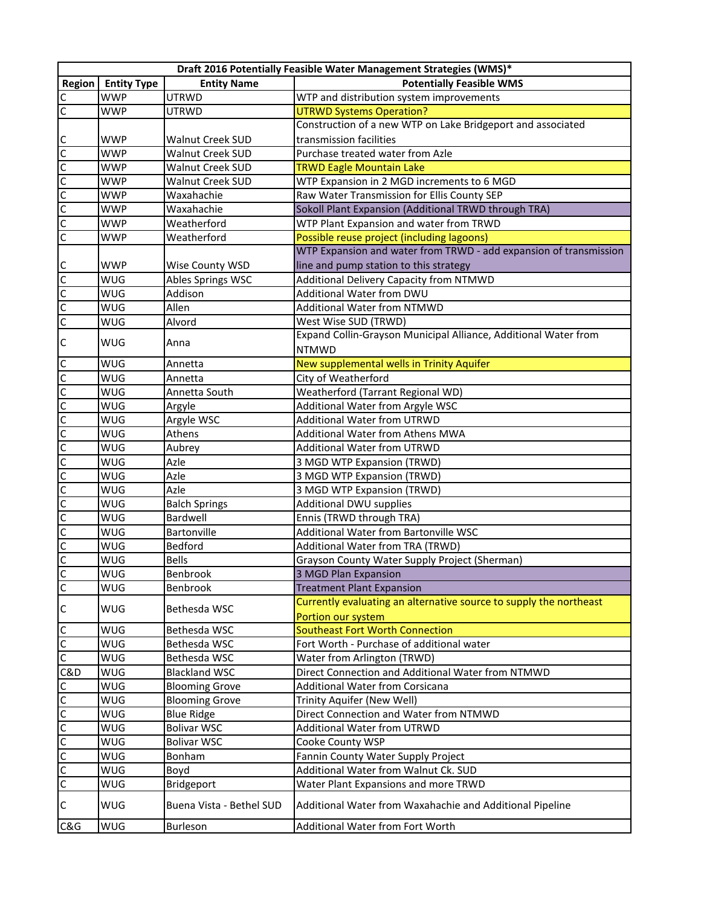|                                                                                    | Draft 2016 Potentially Feasible Water Management Strategies (WMS)* |                          |                                                                    |  |
|------------------------------------------------------------------------------------|--------------------------------------------------------------------|--------------------------|--------------------------------------------------------------------|--|
| Region                                                                             | <b>Entity Type</b>                                                 | <b>Entity Name</b>       | <b>Potentially Feasible WMS</b>                                    |  |
| $\mathsf{C}$                                                                       | <b>WWP</b>                                                         | <b>UTRWD</b>             | WTP and distribution system improvements                           |  |
| $\overline{C}$                                                                     | WWP                                                                | UTRWD                    | <b>UTRWD Systems Operation?</b>                                    |  |
|                                                                                    |                                                                    |                          | Construction of a new WTP on Lake Bridgeport and associated        |  |
|                                                                                    | <b>WWP</b>                                                         | Walnut Creek SUD         | transmission facilities                                            |  |
|                                                                                    | <b>WWP</b>                                                         | Walnut Creek SUD         | Purchase treated water from Azle                                   |  |
|                                                                                    | <b>WWP</b>                                                         | Walnut Creek SUD         | <b>TRWD Eagle Mountain Lake</b>                                    |  |
|                                                                                    | <b>WWP</b>                                                         | Walnut Creek SUD         | WTP Expansion in 2 MGD increments to 6 MGD                         |  |
| <u>ululululu</u>                                                                   | <b>WWP</b>                                                         | Waxahachie               | Raw Water Transmission for Ellis County SEP                        |  |
|                                                                                    | <b>WWP</b>                                                         | Waxahachie               | Sokoll Plant Expansion (Additional TRWD through TRA)               |  |
|                                                                                    | <b>WWP</b>                                                         | Weatherford              | WTP Plant Expansion and water from TRWD                            |  |
| $\overline{C}$                                                                     | <b>WWP</b>                                                         | Weatherford              | Possible reuse project (including lagoons)                         |  |
|                                                                                    |                                                                    |                          | WTP Expansion and water from TRWD - add expansion of transmission  |  |
|                                                                                    | WWP                                                                | Wise County WSD          | line and pump station to this strategy                             |  |
| $\frac{1}{2}$                                                                      | WUG                                                                | Ables Springs WSC        | Additional Delivery Capacity from NTMWD                            |  |
|                                                                                    | WUG                                                                | Addison                  | Additional Water from DWU                                          |  |
|                                                                                    | WUG                                                                | Allen                    | <b>Additional Water from NTMWD</b>                                 |  |
|                                                                                    | WUG                                                                | Alvord                   | West Wise SUD (TRWD)                                               |  |
| $\mathsf{C}$                                                                       | WUG                                                                | Anna                     | Expand Collin-Grayson Municipal Alliance, Additional Water from    |  |
|                                                                                    |                                                                    |                          | <b>NTMWD</b>                                                       |  |
|                                                                                    | WUG                                                                | Annetta                  | New supplemental wells in Trinity Aquifer                          |  |
|                                                                                    | WUG                                                                | Annetta                  | City of Weatherford                                                |  |
|                                                                                    | WUG                                                                | Annetta South            | Weatherford (Tarrant Regional WD)                                  |  |
|                                                                                    | WUG                                                                | Argyle                   | Additional Water from Argyle WSC                                   |  |
|                                                                                    | WUG                                                                | Argyle WSC               | <b>Additional Water from UTRWD</b>                                 |  |
|                                                                                    | WUG                                                                | Athens                   | Additional Water from Athens MWA                                   |  |
|                                                                                    | WUG                                                                | Aubrey                   | Additional Water from UTRWD                                        |  |
|                                                                                    | WUG<br>WUG                                                         | Azle<br>Azle             | 3 MGD WTP Expansion (TRWD)<br>3 MGD WTP Expansion (TRWD)           |  |
|                                                                                    | WUG                                                                | Azle                     | 3 MGD WTP Expansion (TRWD)                                         |  |
|                                                                                    | WUG                                                                | <b>Balch Springs</b>     | Additional DWU supplies                                            |  |
|                                                                                    | WUG                                                                | Bardwell                 | Ennis (TRWD through TRA)                                           |  |
|                                                                                    | <b>WUG</b>                                                         | Bartonville              | Additional Water from Bartonville WSC                              |  |
| <u>ulululululululululululululu</u>                                                 | WUG                                                                | Bedford                  | Additional Water from TRA (TRWD)                                   |  |
|                                                                                    | WUG                                                                | <b>Bells</b>             | Grayson County Water Supply Project (Sherman)                      |  |
|                                                                                    | WUG                                                                | Benbrook                 | 3 MGD Plan Expansion                                               |  |
|                                                                                    | WUG                                                                | Benbrook                 | <b>Treatment Plant Expansion</b>                                   |  |
|                                                                                    |                                                                    |                          | Currently evaluating an alternative source to supply the northeast |  |
| $\mathsf C$                                                                        | WUG                                                                | Bethesda WSC             | Portion our system                                                 |  |
|                                                                                    | WUG                                                                | Bethesda WSC             | <b>Southeast Fort Worth Connection</b>                             |  |
|                                                                                    | WUG                                                                | Bethesda WSC             | Fort Worth - Purchase of additional water                          |  |
| $\begin{array}{c} \begin{array}{c} C \\ C \end{array} \\ \hline C \end{array}$ C&D | WUG                                                                | Bethesda WSC             | Water from Arlington (TRWD)                                        |  |
|                                                                                    | <b>WUG</b>                                                         | <b>Blackland WSC</b>     | Direct Connection and Additional Water from NTMWD                  |  |
|                                                                                    | WUG                                                                | <b>Blooming Grove</b>    | <b>Additional Water from Corsicana</b>                             |  |
| <u>lululululululu</u>                                                              | WUG                                                                | <b>Blooming Grove</b>    | Trinity Aquifer (New Well)                                         |  |
|                                                                                    | WUG                                                                | <b>Blue Ridge</b>        | Direct Connection and Water from NTMWD                             |  |
|                                                                                    | WUG                                                                | <b>Bolivar WSC</b>       | <b>Additional Water from UTRWD</b>                                 |  |
|                                                                                    | WUG                                                                | <b>Bolivar WSC</b>       | Cooke County WSP                                                   |  |
|                                                                                    | WUG                                                                | Bonham                   | Fannin County Water Supply Project                                 |  |
|                                                                                    | WUG                                                                | Boyd                     | Additional Water from Walnut Ck. SUD                               |  |
|                                                                                    | WUG                                                                | Bridgeport               | Water Plant Expansions and more TRWD                               |  |
| $\mathsf{C}$                                                                       | WUG                                                                | Buena Vista - Bethel SUD | Additional Water from Waxahachie and Additional Pipeline           |  |
| C&G                                                                                | WUG                                                                | <b>Burleson</b>          | Additional Water from Fort Worth                                   |  |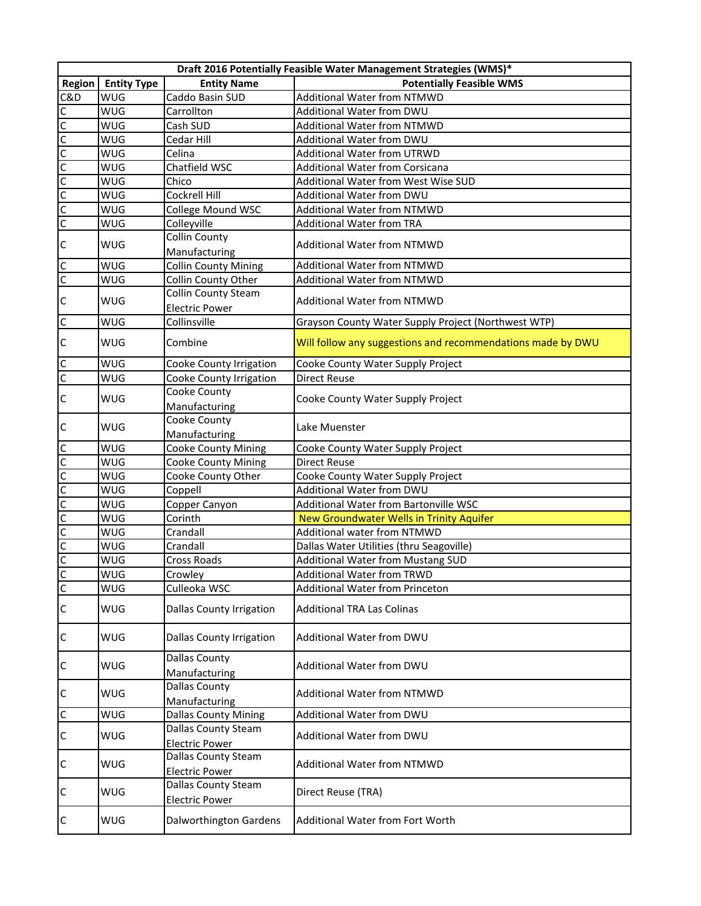|                |                    |                                 | Draft 2016 Potentially Feasible Water Management Strategies (WMS)* |
|----------------|--------------------|---------------------------------|--------------------------------------------------------------------|
| Region         | <b>Entity Type</b> | <b>Entity Name</b>              | <b>Potentially Feasible WMS</b>                                    |
| C&D            | <b>WUG</b>         | Caddo Basin SUD                 | Additional Water from NTMWD                                        |
| $\mathsf{C}$   | <b>WUG</b>         | Carrollton                      | Additional Water from DWU                                          |
|                | <b>WUG</b>         | Cash SUD                        | <b>Additional Water from NTMWD</b>                                 |
|                | <b>WUG</b>         | Cedar Hill                      | Additional Water from DWU                                          |
| $\frac{1}{2}$  | <b>WUG</b>         | Celina                          | <b>Additional Water from UTRWD</b>                                 |
|                | <b>WUG</b>         | Chatfield WSC                   | <b>Additional Water from Corsicana</b>                             |
|                | <b>WUG</b>         | Chico                           | Additional Water from West Wise SUD                                |
|                | <b>WUG</b>         | <b>Cockrell Hill</b>            | Additional Water from DWU                                          |
|                | <b>WUG</b>         | College Mound WSC               | <b>Additional Water from NTMWD</b>                                 |
|                | <b>WUG</b>         | Colleyville                     | <b>Additional Water from TRA</b>                                   |
|                | <b>WUG</b>         | <b>Collin County</b>            |                                                                    |
| $\mathsf{C}$   |                    | Manufacturing                   | <b>Additional Water from NTMWD</b>                                 |
| $\mathsf{C}$   | <b>WUG</b>         | <b>Collin County Mining</b>     | <b>Additional Water from NTMWD</b>                                 |
| $\mathsf C$    | <b>WUG</b>         | Collin County Other             | Additional Water from NTMWD                                        |
|                |                    | <b>Collin County Steam</b>      |                                                                    |
| $\mathsf{C}$   | <b>WUG</b>         | <b>Electric Power</b>           | <b>Additional Water from NTMWD</b>                                 |
| $\mathsf C$    | <b>WUG</b>         | Collinsville                    | Grayson County Water Supply Project (Northwest WTP)                |
| $\mathsf{C}$   | <b>WUG</b>         | Combine                         | Will follow any suggestions and recommendations made by DWU        |
|                | <b>WUG</b>         | Cooke County Irrigation         | Cooke County Water Supply Project                                  |
| $rac{C}{C}$    | <b>WUG</b>         | Cooke County Irrigation         | <b>Direct Reuse</b>                                                |
|                |                    | Cooke County                    |                                                                    |
| $\mathsf{C}$   | <b>WUG</b>         | Manufacturing                   | Cooke County Water Supply Project                                  |
|                |                    | Cooke County                    |                                                                    |
| $\mathsf{C}$   | <b>WUG</b>         | Manufacturing                   | Lake Muenster                                                      |
| C              | <b>WUG</b>         | <b>Cooke County Mining</b>      | Cooke County Water Supply Project                                  |
|                | <b>WUG</b>         | <b>Cooke County Mining</b>      | <b>Direct Reuse</b>                                                |
| $\frac{1}{2}$  | <b>WUG</b>         | Cooke County Other              | Cooke County Water Supply Project                                  |
| $\overline{c}$ | <b>WUG</b>         | Coppell                         | Additional Water from DWU                                          |
|                | <b>WUG</b>         | Copper Canyon                   | Additional Water from Bartonville WSC                              |
| 0 0 0 0        | <b>WUG</b>         | Corinth                         | New Groundwater Wells in Trinity Aquifer                           |
|                | <b>WUG</b>         | Crandall                        | Additional water from NTMWD                                        |
|                | <b>WUG</b>         | Crandall                        | Dallas Water Utilities (thru Seagoville)                           |
|                | <b>WUG</b>         | <b>Cross Roads</b>              | Additional Water from Mustang SUD                                  |
|                | <b>WUG</b>         | Crowley                         | Additional Water from TRWD                                         |
| $\frac{c}{c}$  | WUG                | Culleoka WSC                    | Additional Water from Princeton                                    |
|                |                    |                                 |                                                                    |
| $\mathsf C$    | <b>WUG</b>         | <b>Dallas County Irrigation</b> | <b>Additional TRA Las Colinas</b>                                  |
| $\mathsf{C}$   | <b>WUG</b>         | <b>Dallas County Irrigation</b> | Additional Water from DWU                                          |
|                |                    | <b>Dallas County</b>            |                                                                    |
| $\mathsf{C}$   | <b>WUG</b>         | Manufacturing                   | Additional Water from DWU                                          |
|                |                    | Dallas County                   |                                                                    |
| $\mathsf{C}$   | <b>WUG</b>         | Manufacturing                   | <b>Additional Water from NTMWD</b>                                 |
| $\mathsf{C}$   | WUG                | <b>Dallas County Mining</b>     | Additional Water from DWU                                          |
|                |                    | Dallas County Steam             |                                                                    |
| $\mathsf{C}$   | <b>WUG</b>         | <b>Electric Power</b>           | Additional Water from DWU                                          |
| $\mathsf{C}$   |                    | Dallas County Steam             |                                                                    |
|                | <b>WUG</b>         | <b>Electric Power</b>           | <b>Additional Water from NTMWD</b>                                 |
|                |                    | Dallas County Steam             |                                                                    |
| $\mathsf{C}$   | <b>WUG</b>         | <b>Electric Power</b>           | Direct Reuse (TRA)                                                 |
| C              | <b>WUG</b>         | Dalworthington Gardens          | Additional Water from Fort Worth                                   |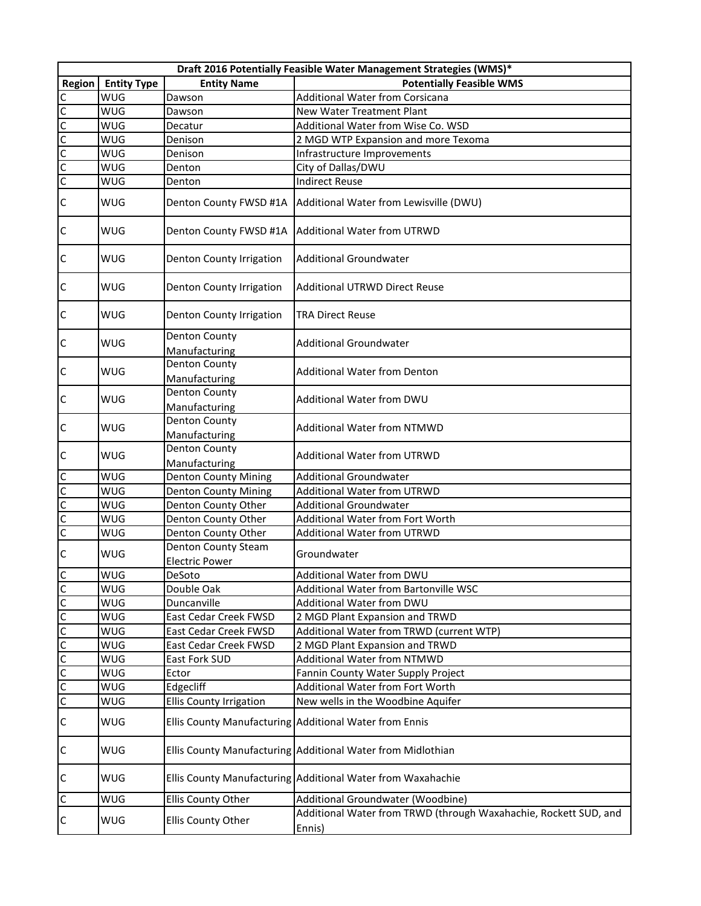|                         | Draft 2016 Potentially Feasible Water Management Strategies (WMS)* |                                       |                                                                            |  |
|-------------------------|--------------------------------------------------------------------|---------------------------------------|----------------------------------------------------------------------------|--|
| <b>Region</b>           | <b>Entity Type</b>                                                 | <b>Entity Name</b>                    | <b>Potentially Feasible WMS</b>                                            |  |
|                         | <b>WUG</b>                                                         | Dawson                                | <b>Additional Water from Corsicana</b>                                     |  |
|                         | WUG                                                                | Dawson                                | <b>New Water Treatment Plant</b>                                           |  |
|                         | <b>WUG</b>                                                         | Decatur                               | Additional Water from Wise Co. WSD                                         |  |
|                         | WUG                                                                | Denison                               | 2 MGD WTP Expansion and more Texoma                                        |  |
|                         | <b>WUG</b>                                                         | Denison                               | Infrastructure Improvements                                                |  |
|                         | <b>WUG</b>                                                         | Denton                                | City of Dallas/DWU                                                         |  |
| <u>ululululu</u>        | WUG                                                                | Denton                                | <b>Indirect Reuse</b>                                                      |  |
|                         |                                                                    |                                       |                                                                            |  |
| $\mathsf{C}$            | <b>WUG</b>                                                         | Denton County FWSD #1A                | Additional Water from Lewisville (DWU)                                     |  |
| $\mathsf{C}$            | <b>WUG</b>                                                         | Denton County FWSD #1A                | Additional Water from UTRWD                                                |  |
| $\mathsf{C}$            | <b>WUG</b>                                                         | Denton County Irrigation              | <b>Additional Groundwater</b>                                              |  |
| $\mathsf C$             | <b>WUG</b>                                                         | Denton County Irrigation              | <b>Additional UTRWD Direct Reuse</b>                                       |  |
| $\mathsf C$             | <b>WUG</b>                                                         | Denton County Irrigation              | <b>TRA Direct Reuse</b>                                                    |  |
| $\mathsf C$             | <b>WUG</b>                                                         | <b>Denton County</b><br>Manufacturing | <b>Additional Groundwater</b>                                              |  |
| $\mathsf{C}$            | WUG                                                                | <b>Denton County</b><br>Manufacturing | <b>Additional Water from Denton</b>                                        |  |
| $\mathsf C$             | WUG                                                                | <b>Denton County</b><br>Manufacturing | Additional Water from DWU                                                  |  |
| $\mathsf C$             | <b>WUG</b>                                                         | Denton County<br>Manufacturing        | <b>Additional Water from NTMWD</b>                                         |  |
| $\mathsf{C}$            | <b>WUG</b>                                                         | Denton County<br>Manufacturing        | <b>Additional Water from UTRWD</b>                                         |  |
|                         | WUG                                                                | <b>Denton County Mining</b>           | <b>Additional Groundwater</b>                                              |  |
|                         | WUG                                                                | <b>Denton County Mining</b>           | <b>Additional Water from UTRWD</b>                                         |  |
|                         | <b>WUG</b>                                                         | Denton County Other                   | <b>Additional Groundwater</b>                                              |  |
| $\frac{1}{2}$           | <b>WUG</b>                                                         | Denton County Other                   | <b>Additional Water from Fort Worth</b>                                    |  |
|                         | <b>WUG</b>                                                         | Denton County Other                   | Additional Water from UTRWD                                                |  |
|                         |                                                                    | Denton County Steam                   |                                                                            |  |
| $\mathsf C$             | <b>WUG</b>                                                         | <b>Electric Power</b>                 | Groundwater                                                                |  |
| $rac{C}{C}$             | <b>WUG</b>                                                         | DeSoto                                | Additional Water from DWU                                                  |  |
|                         | WUG                                                                | Double Oak                            | Additional Water from Bartonville WSC                                      |  |
| $\overline{C}$          | <b>WUG</b>                                                         | Duncanville                           | Additional Water from DWU                                                  |  |
| $\overline{C}$          | WUG                                                                | East Cedar Creek FWSD                 | 2 MGD Plant Expansion and TRWD                                             |  |
| $\overline{C}$          | WUG                                                                | East Cedar Creek FWSD                 | Additional Water from TRWD (current WTP)                                   |  |
| $\overline{\mathsf{C}}$ | WUG                                                                | East Cedar Creek FWSD                 | 2 MGD Plant Expansion and TRWD                                             |  |
|                         | WUG                                                                | East Fork SUD                         | <b>Additional Water from NTMWD</b>                                         |  |
|                         | WUG                                                                | Ector                                 | Fannin County Water Supply Project                                         |  |
|                         | <b>WUG</b>                                                         | Edgecliff                             | Additional Water from Fort Worth                                           |  |
| $rac{c}{c}$             | WUG                                                                | <b>Ellis County Irrigation</b>        | New wells in the Woodbine Aquifer                                          |  |
| $\mathsf C$             | <b>WUG</b>                                                         |                                       | Ellis County Manufacturing Additional Water from Ennis                     |  |
| $\mathsf C$             | <b>WUG</b>                                                         |                                       | Ellis County Manufacturing Additional Water from Midlothian                |  |
| $\mathsf{C}$            | <b>WUG</b>                                                         |                                       | Ellis County Manufacturing Additional Water from Waxahachie                |  |
| $\mathsf{C}$            | <b>WUG</b>                                                         | Ellis County Other                    | Additional Groundwater (Woodbine)                                          |  |
| $\mathsf{C}$            | <b>WUG</b>                                                         | Ellis County Other                    | Additional Water from TRWD (through Waxahachie, Rockett SUD, and<br>Ennis) |  |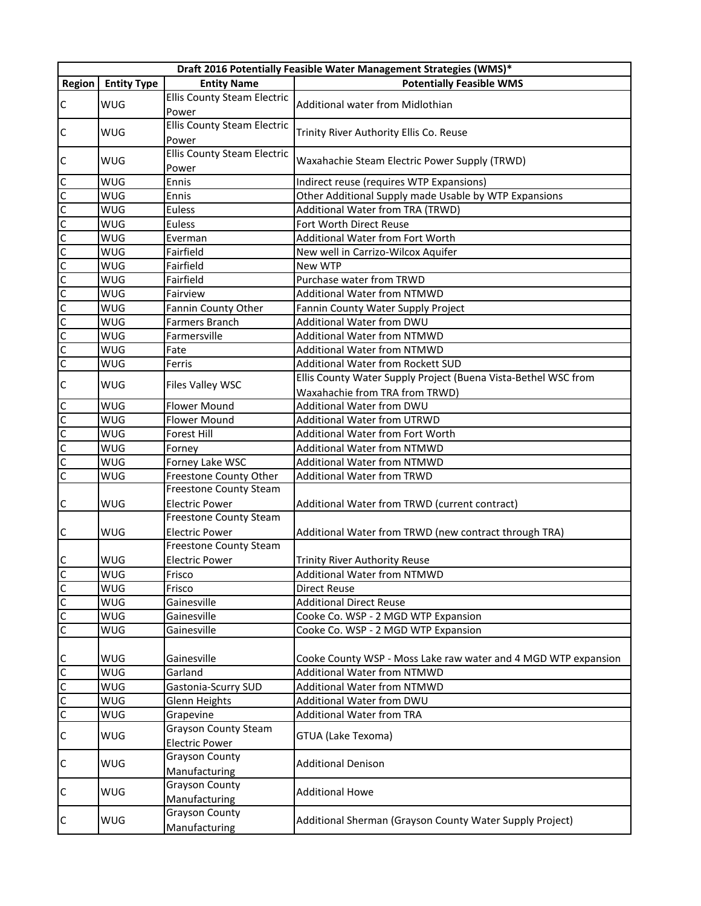|                         |                          |                                    | Draft 2016 Potentially Feasible Water Management Strategies (WMS)* |
|-------------------------|--------------------------|------------------------------------|--------------------------------------------------------------------|
| Region                  | <b>Entity Type</b>       | <b>Entity Name</b>                 | <b>Potentially Feasible WMS</b>                                    |
|                         | <b>WUG</b>               | <b>Ellis County Steam Electric</b> |                                                                    |
| $\mathsf{C}$            |                          | Power                              | Additional water from Midlothian                                   |
| $\mathsf{C}$            | <b>WUG</b>               | <b>Ellis County Steam Electric</b> | Trinity River Authority Ellis Co. Reuse                            |
|                         |                          | Power                              |                                                                    |
| $\mathsf{C}$            | <b>WUG</b>               | <b>Ellis County Steam Electric</b> | Waxahachie Steam Electric Power Supply (TRWD)                      |
|                         |                          | Power                              |                                                                    |
| $\overline{C}$          | <b>WUG</b>               | Ennis                              | Indirect reuse (requires WTP Expansions)                           |
| $\frac{1}{2}$           | <b>WUG</b>               | Ennis                              | Other Additional Supply made Usable by WTP Expansions              |
|                         | <b>WUG</b>               | Euless                             | Additional Water from TRA (TRWD)                                   |
|                         | <b>WUG</b>               | Euless                             | Fort Worth Direct Reuse                                            |
| $\overline{C}$          | <b>WUG</b>               | Everman                            | <b>Additional Water from Fort Worth</b>                            |
| $\overline{C}$          | <b>WUG</b>               | Fairfield                          | New well in Carrizo-Wilcox Aquifer                                 |
| $\mathsf{C}$            | <b>WUG</b>               | Fairfield                          | New WTP                                                            |
| $\overline{c}$          | <b>WUG</b>               | Fairfield                          | Purchase water from TRWD                                           |
| $\overline{c}$          | <b>WUG</b>               | Fairview                           | <b>Additional Water from NTMWD</b>                                 |
| C                       | <b>WUG</b>               | Fannin County Other                | Fannin County Water Supply Project                                 |
| $\overline{\mathsf{c}}$ | <b>WUG</b>               | Farmers Branch                     | Additional Water from DWU                                          |
| $\overline{c}$          | <b>WUG</b>               | Farmersville                       | Additional Water from NTMWD                                        |
| $\overline{C}$          | <b>WUG</b>               | Fate                               | <b>Additional Water from NTMWD</b>                                 |
| $\overline{c}$          | <b>WUG</b>               | Ferris                             | Additional Water from Rockett SUD                                  |
| $\mathsf{C}$            | <b>WUG</b>               | Files Valley WSC                   | Ellis County Water Supply Project (Buena Vista-Bethel WSC from     |
|                         |                          |                                    | Waxahachie from TRA from TRWD)                                     |
| $\mathsf{C}$            | <b>WUG</b>               | <b>Flower Mound</b>                | Additional Water from DWU                                          |
| 00                      | <b>WUG</b>               | <b>Flower Mound</b>                | <b>Additional Water from UTRWD</b>                                 |
|                         | <b>WUG</b>               | Forest Hill                        | Additional Water from Fort Worth                                   |
|                         | <b>WUG</b>               | Forney                             | Additional Water from NTMWD                                        |
| C                       | <b>WUG</b>               | Forney Lake WSC                    | Additional Water from NTMWD                                        |
| $\overline{c}$          | <b>WUG</b>               | Freestone County Other             | <b>Additional Water from TRWD</b>                                  |
|                         |                          | Freestone County Steam             |                                                                    |
| $\mathsf{C}$            | <b>WUG</b>               | <b>Electric Power</b>              | Additional Water from TRWD (current contract)                      |
|                         |                          | <b>Freestone County Steam</b>      |                                                                    |
| C                       | <b>WUG</b>               | <b>Electric Power</b>              | Additional Water from TRWD (new contract through TRA)              |
|                         |                          | Freestone County Steam             |                                                                    |
| $\mathsf{C}$            | <b>WUG</b>               | <b>Electric Power</b>              | <b>Trinity River Authority Reuse</b>                               |
| $\frac{c}{c}$           | <b>WUG</b>               | Frisco<br>Frisco                   | Additional Water from NTMWD                                        |
| $\overline{C}$          | <b>WUG</b><br><b>WUG</b> | Gainesville                        | Direct Reuse<br><b>Additional Direct Reuse</b>                     |
| $\overline{C}$          | <b>WUG</b>               | Gainesville                        | Cooke Co. WSP - 2 MGD WTP Expansion                                |
| $\overline{C}$          | <b>WUG</b>               | Gainesville                        | Cooke Co. WSP - 2 MGD WTP Expansion                                |
|                         |                          |                                    |                                                                    |
| $\mathsf{C}$            | <b>WUG</b>               | Gainesville                        | Cooke County WSP - Moss Lake raw water and 4 MGD WTP expansion     |
|                         | <b>WUG</b>               | Garland                            | Additional Water from NTMWD                                        |
|                         | <b>WUG</b>               | Gastonia-Scurry SUD                | Additional Water from NTMWD                                        |
| 0 0                     | <b>WUG</b>               | Glenn Heights                      | Additional Water from DWU                                          |
|                         | <b>WUG</b>               | Grapevine                          | <b>Additional Water from TRA</b>                                   |
|                         |                          | <b>Grayson County Steam</b>        |                                                                    |
| $\mathsf{C}$            | <b>WUG</b>               | <b>Electric Power</b>              | GTUA (Lake Texoma)                                                 |
| $\mathsf{C}$            |                          | Grayson County                     |                                                                    |
|                         | <b>WUG</b>               | Manufacturing                      | <b>Additional Denison</b>                                          |
|                         |                          | <b>Grayson County</b>              |                                                                    |
| $\mathsf{C}$            | <b>WUG</b>               | Manufacturing                      | <b>Additional Howe</b>                                             |
|                         |                          | Grayson County                     |                                                                    |
| C                       | <b>WUG</b>               | Manufacturing                      | Additional Sherman (Grayson County Water Supply Project)           |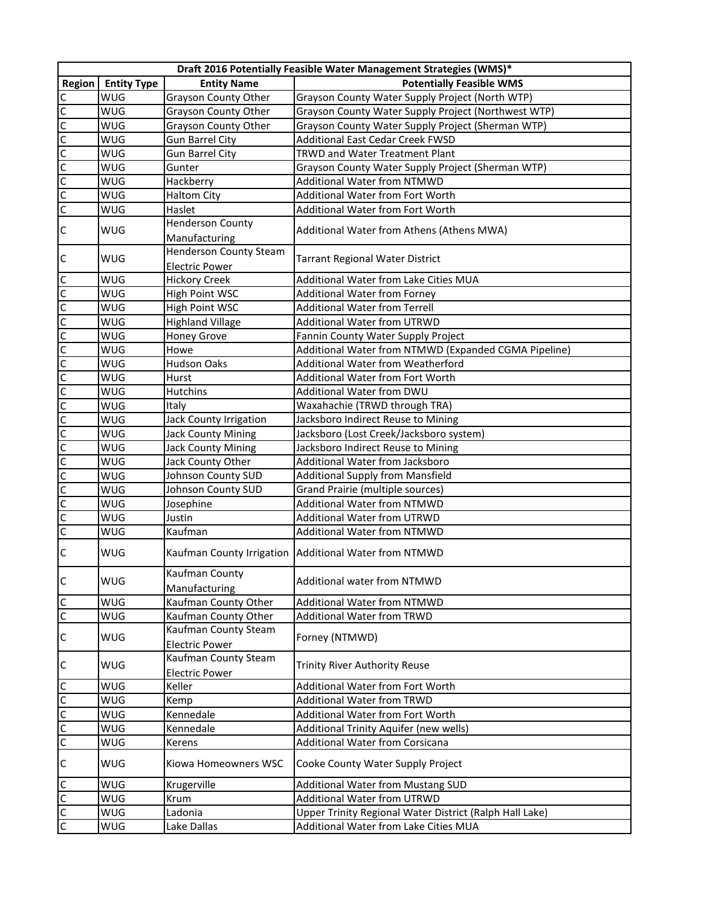|                               |                    |                                               | Draft 2016 Potentially Feasible Water Management Strategies (WMS)* |
|-------------------------------|--------------------|-----------------------------------------------|--------------------------------------------------------------------|
| Region                        | <b>Entity Type</b> | <b>Entity Name</b>                            | <b>Potentially Feasible WMS</b>                                    |
| $\mathsf{C}$                  | <b>WUG</b>         | <b>Grayson County Other</b>                   | Grayson County Water Supply Project (North WTP)                    |
|                               | WUG                | Grayson County Other                          | Grayson County Water Supply Project (Northwest WTP)                |
|                               | WUG                | Grayson County Other                          | Grayson County Water Supply Project (Sherman WTP)                  |
|                               | WUG                | <b>Gun Barrel City</b>                        | Additional East Cedar Creek FWSD                                   |
|                               | WUG                | <b>Gun Barrel City</b>                        | TRWD and Water Treatment Plant                                     |
|                               | WUG                | Gunter                                        | Grayson County Water Supply Project (Sherman WTP)                  |
|                               | WUG                | Hackberry                                     | <b>Additional Water from NTMWD</b>                                 |
|                               | WUG                | <b>Haltom City</b>                            | Additional Water from Fort Worth                                   |
| <u>lulululululu</u>           | WUG                | Haslet                                        | Additional Water from Fort Worth                                   |
| $\mathsf{C}$                  | <b>WUG</b>         | <b>Henderson County</b>                       | Additional Water from Athens (Athens MWA)                          |
|                               |                    | Manufacturing                                 |                                                                    |
|                               | <b>WUG</b>         | <b>Henderson County Steam</b>                 |                                                                    |
| $\mathsf C$                   |                    | <b>Electric Power</b>                         | <b>Tarrant Regional Water District</b>                             |
| $\overline{C}$                | WUG                | <b>Hickory Creek</b>                          | Additional Water from Lake Cities MUA                              |
|                               | WUG                | High Point WSC                                | Additional Water from Forney                                       |
|                               | WUG                | High Point WSC                                | <b>Additional Water from Terrell</b>                               |
|                               | WUG                | <b>Highland Village</b>                       | Additional Water from UTRWD                                        |
|                               | WUG                | <b>Honey Grove</b>                            | Fannin County Water Supply Project                                 |
|                               | WUG                | Howe                                          | Additional Water from NTMWD (Expanded CGMA Pipeline)               |
|                               | WUG                | <b>Hudson Oaks</b>                            | Additional Water from Weatherford                                  |
|                               | WUG                | Hurst                                         | <b>Additional Water from Fort Worth</b>                            |
|                               | WUG                | Hutchins                                      | Additional Water from DWU                                          |
|                               | WUG                | Italy                                         | Waxahachie (TRWD through TRA)                                      |
|                               | WUG                | Jack County Irrigation                        | Jacksboro Indirect Reuse to Mining                                 |
|                               | WUG                | <b>Jack County Mining</b>                     | Jacksboro (Lost Creek/Jacksboro system)                            |
|                               | WUG                | <b>Jack County Mining</b>                     | Jacksboro Indirect Reuse to Mining                                 |
|                               | WUG                | Jack County Other                             | Additional Water from Jacksboro                                    |
|                               | WUG                | Johnson County SUD                            | <b>Additional Supply from Mansfield</b>                            |
|                               | WUG                | Johnson County SUD                            | Grand Prairie (multiple sources)                                   |
|                               | WUG                | Josephine                                     | Additional Water from NTMWD                                        |
|                               | WUG                | Justin                                        | Additional Water from UTRWD                                        |
|                               | WUG                | Kaufman                                       | Additional Water from NTMWD                                        |
| C                             | WUG                | Kaufman County Irrigation                     | Additional Water from NTMWD                                        |
| $\overline{\mathsf{C}}$       | WUG                | Kaufman County<br>Manufacturing               | Additional water from NTMWD                                        |
| $\overline{C}$                | WUG                | Kaufman County Other                          | <b>Additional Water from NTMWD</b>                                 |
| $\overline{C}$                | WUG                | Kaufman County Other                          | Additional Water from TRWD                                         |
|                               |                    | Kaufman County Steam                          |                                                                    |
| $\mathsf C$                   | WUG                | <b>Electric Power</b>                         | Forney (NTMWD)                                                     |
| $\mathsf{C}$                  | WUG                | Kaufman County Steam<br><b>Electric Power</b> | <b>Trinity River Authority Reuse</b>                               |
|                               | WUG                | Keller                                        | Additional Water from Fort Worth                                   |
|                               | WUG                | Kemp                                          | <b>Additional Water from TRWD</b>                                  |
| $\frac{1}{2}$ o $\frac{1}{2}$ | WUG                | Kennedale                                     | Additional Water from Fort Worth                                   |
|                               | WUG                | Kennedale                                     | Additional Trinity Aquifer (new wells)                             |
|                               | WUG                | Kerens                                        | <b>Additional Water from Corsicana</b>                             |
| $\mathsf{C}$                  | WUG                | Kiowa Homeowners WSC                          | Cooke County Water Supply Project                                  |
|                               | WUG                | Krugerville                                   | Additional Water from Mustang SUD                                  |
| $rac{c}{c}$                   | WUG                | Krum                                          | Additional Water from UTRWD                                        |
|                               | WUG                | Ladonia                                       | Upper Trinity Regional Water District (Ralph Hall Lake)            |
|                               | WUG                | Lake Dallas                                   | Additional Water from Lake Cities MUA                              |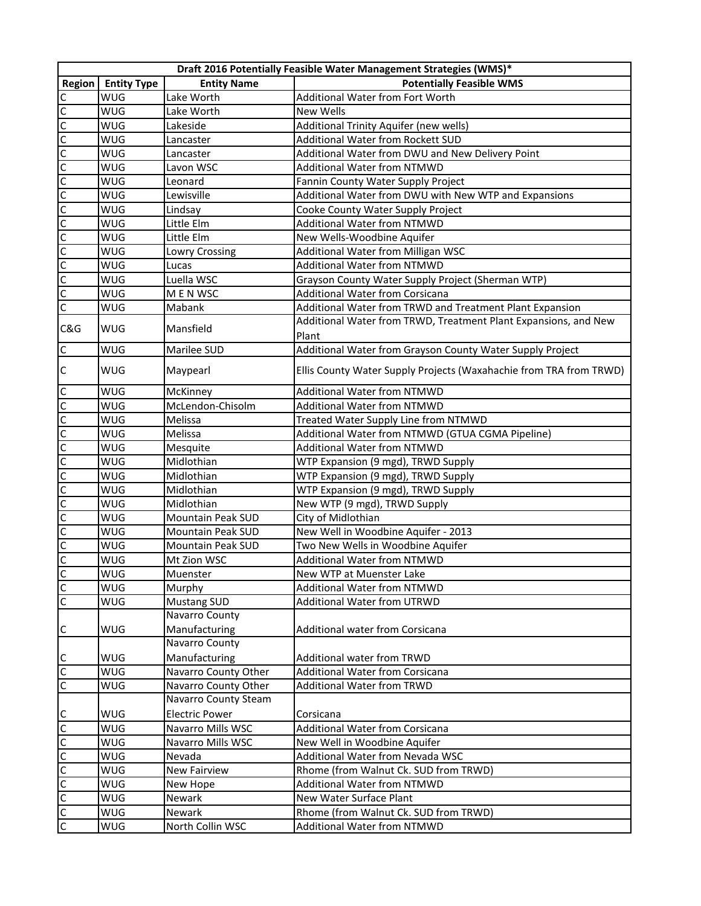|                                | Draft 2016 Potentially Feasible Water Management Strategies (WMS)* |                       |                                                                    |  |
|--------------------------------|--------------------------------------------------------------------|-----------------------|--------------------------------------------------------------------|--|
| Region                         | <b>Entity Type</b>                                                 | <b>Entity Name</b>    | <b>Potentially Feasible WMS</b>                                    |  |
| $\mathsf{C}$                   | <b>WUG</b>                                                         | Lake Worth            | Additional Water from Fort Worth                                   |  |
|                                | WUG                                                                | Lake Worth            | <b>New Wells</b>                                                   |  |
|                                | WUG                                                                | Lakeside              | Additional Trinity Aquifer (new wells)                             |  |
|                                | WUG                                                                | Lancaster             | Additional Water from Rockett SUD                                  |  |
| <u>ulululululululululululu</u> | WUG                                                                | Lancaster             | Additional Water from DWU and New Delivery Point                   |  |
|                                | WUG                                                                | Lavon WSC             | Additional Water from NTMWD                                        |  |
|                                | WUG                                                                | Leonard               | Fannin County Water Supply Project                                 |  |
|                                | WUG                                                                | Lewisville            | Additional Water from DWU with New WTP and Expansions              |  |
|                                | <b>WUG</b>                                                         | Lindsay               | Cooke County Water Supply Project                                  |  |
|                                | <b>WUG</b>                                                         | Little Elm            | <b>Additional Water from NTMWD</b>                                 |  |
|                                | <b>WUG</b>                                                         | Little Elm            | New Wells-Woodbine Aquifer                                         |  |
|                                | WUG                                                                | Lowry Crossing        | Additional Water from Milligan WSC                                 |  |
|                                | WUG                                                                | Lucas                 | <b>Additional Water from NTMWD</b>                                 |  |
|                                | WUG                                                                | Luella WSC            | Grayson County Water Supply Project (Sherman WTP)                  |  |
|                                | WUG                                                                | M E N WSC             | <b>Additional Water from Corsicana</b>                             |  |
| $\overline{c}$                 | WUG                                                                | Mabank                | Additional Water from TRWD and Treatment Plant Expansion           |  |
|                                | WUG                                                                | Mansfield             | Additional Water from TRWD, Treatment Plant Expansions, and New    |  |
| C&G                            |                                                                    |                       | Plant                                                              |  |
| $\overline{c}$                 | WUG                                                                | Marilee SUD           | Additional Water from Grayson County Water Supply Project          |  |
| $\mathsf{C}$                   | WUG                                                                | Maypearl              | Ellis County Water Supply Projects (Waxahachie from TRA from TRWD) |  |
|                                | WUG                                                                | McKinney              | Additional Water from NTMWD                                        |  |
| <u>olololololololololololo</u> | WUG                                                                | McLendon-Chisolm      | <b>Additional Water from NTMWD</b>                                 |  |
|                                | WUG                                                                | Melissa               | Treated Water Supply Line from NTMWD                               |  |
|                                | WUG                                                                | Melissa               | Additional Water from NTMWD (GTUA CGMA Pipeline)                   |  |
|                                | WUG                                                                | Mesquite              | <b>Additional Water from NTMWD</b>                                 |  |
|                                | WUG                                                                | Midlothian            | WTP Expansion (9 mgd), TRWD Supply                                 |  |
|                                | WUG                                                                | Midlothian            | WTP Expansion (9 mgd), TRWD Supply                                 |  |
|                                | WUG                                                                | Midlothian            | WTP Expansion (9 mgd), TRWD Supply                                 |  |
|                                | WUG                                                                | Midlothian            | New WTP (9 mgd), TRWD Supply                                       |  |
|                                | WUG                                                                | Mountain Peak SUD     | City of Midlothian                                                 |  |
|                                | <b>WUG</b>                                                         | Mountain Peak SUD     | New Well in Woodbine Aquifer - 2013                                |  |
|                                | <b>WUG</b>                                                         | Mountain Peak SUD     | Two New Wells in Woodbine Aquifer                                  |  |
|                                | <b>WUG</b>                                                         | Mt Zion WSC           | Additional Water from NTMWD                                        |  |
|                                | WUG                                                                | Muenster              | New WTP at Muenster Lake                                           |  |
|                                | WUG                                                                | Murphy                | Additional Water from NTMWD                                        |  |
| $\mathsf C$                    | WUG                                                                | <b>Mustang SUD</b>    | Additional Water from UTRWD                                        |  |
|                                |                                                                    | Navarro County        |                                                                    |  |
| $\mathsf{C}$                   | WUG                                                                | Manufacturing         | Additional water from Corsicana                                    |  |
|                                |                                                                    | <b>Navarro County</b> |                                                                    |  |
|                                | WUG                                                                | Manufacturing         | Additional water from TRWD                                         |  |
| ulu                            | WUG                                                                | Navarro County Other  | <b>Additional Water from Corsicana</b>                             |  |
|                                | WUG                                                                | Navarro County Other  | <b>Additional Water from TRWD</b>                                  |  |
|                                |                                                                    | Navarro County Steam  |                                                                    |  |
|                                | WUG                                                                | <b>Electric Power</b> | Corsicana                                                          |  |
|                                | WUG                                                                | Navarro Mills WSC     | <b>Additional Water from Corsicana</b>                             |  |
|                                | WUG                                                                | Navarro Mills WSC     | New Well in Woodbine Aquifer                                       |  |
|                                | WUG                                                                | Nevada                | Additional Water from Nevada WSC                                   |  |
|                                | WUG                                                                | New Fairview          | Rhome (from Walnut Ck. SUD from TRWD)                              |  |
|                                | WUG                                                                | New Hope              | <b>Additional Water from NTMWD</b>                                 |  |
|                                | WUG                                                                | Newark                | New Water Surface Plant                                            |  |
|                                | WUG                                                                | Newark                | Rhome (from Walnut Ck. SUD from TRWD)                              |  |
| <u>ululululululu</u>           | WUG                                                                | North Collin WSC      | Additional Water from NTMWD                                        |  |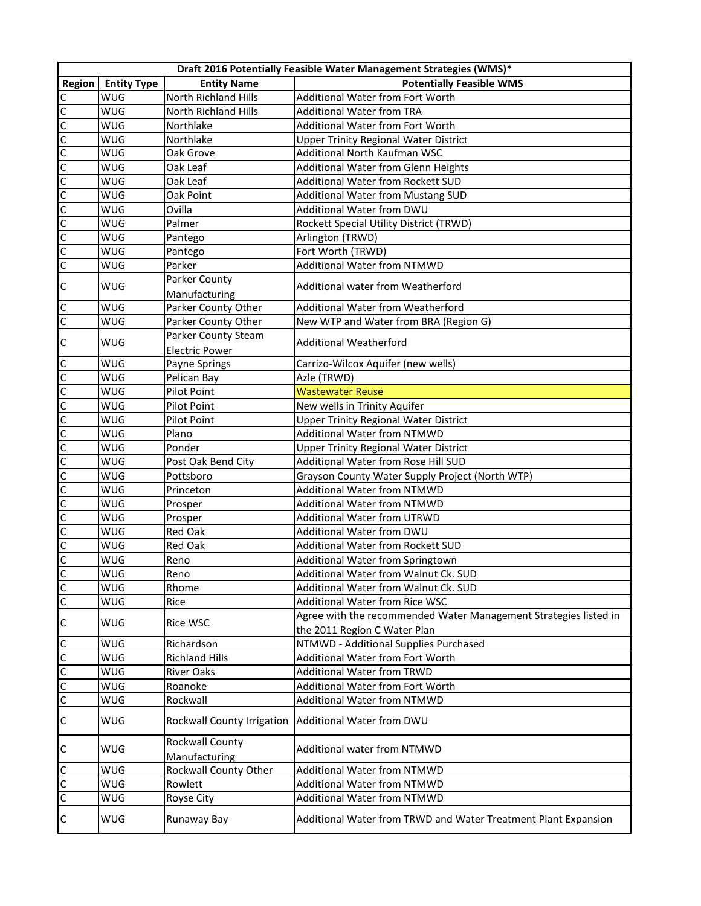|                                      | Draft 2016 Potentially Feasible Water Management Strategies (WMS)* |                                  |                                                                  |  |
|--------------------------------------|--------------------------------------------------------------------|----------------------------------|------------------------------------------------------------------|--|
| Region                               | <b>Entity Type</b>                                                 | <b>Entity Name</b>               | <b>Potentially Feasible WMS</b>                                  |  |
| $\overline{c}$                       | <b>WUG</b>                                                         | <b>North Richland Hills</b>      | Additional Water from Fort Worth                                 |  |
|                                      | WUG                                                                | North Richland Hills             | Additional Water from TRA                                        |  |
|                                      | WUG                                                                | Northlake                        | <b>Additional Water from Fort Worth</b>                          |  |
|                                      | <b>WUG</b>                                                         | Northlake                        | <b>Upper Trinity Regional Water District</b>                     |  |
|                                      | WUG                                                                | Oak Grove                        | Additional North Kaufman WSC                                     |  |
|                                      | <b>WUG</b>                                                         | Oak Leaf                         | Additional Water from Glenn Heights                              |  |
|                                      | <b>WUG</b>                                                         | Oak Leaf                         | Additional Water from Rockett SUD                                |  |
| u u u u u u u u u u u u u            | <b>WUG</b>                                                         | Oak Point                        | <b>Additional Water from Mustang SUD</b>                         |  |
|                                      | <b>WUG</b>                                                         | Ovilla                           | Additional Water from DWU                                        |  |
|                                      | <b>WUG</b>                                                         | Palmer                           | Rockett Special Utility District (TRWD)                          |  |
|                                      | <b>WUG</b>                                                         | Pantego                          | Arlington (TRWD)                                                 |  |
|                                      | <b>WUG</b>                                                         | Pantego                          | Fort Worth (TRWD)                                                |  |
|                                      | WUG                                                                | Parker                           | <b>Additional Water from NTMWD</b>                               |  |
|                                      |                                                                    | Parker County                    |                                                                  |  |
| $\mathsf{C}$                         | WUG                                                                | Manufacturing                    | Additional water from Weatherford                                |  |
| $\overline{c}$                       | <b>WUG</b>                                                         | Parker County Other              | Additional Water from Weatherford                                |  |
| C                                    | <b>WUG</b>                                                         | Parker County Other              | New WTP and Water from BRA (Region G)                            |  |
|                                      |                                                                    | Parker County Steam              |                                                                  |  |
| $\mathsf{C}$                         | WUG                                                                | <b>Electric Power</b>            | <b>Additional Weatherford</b>                                    |  |
|                                      | <b>WUG</b>                                                         | Payne Springs                    | Carrizo-Wilcox Aquifer (new wells)                               |  |
|                                      | <b>WUG</b>                                                         | Pelican Bay                      | Azle (TRWD)                                                      |  |
|                                      | <b>WUG</b>                                                         | Pilot Point                      | <b>Wastewater Reuse</b>                                          |  |
|                                      | WUG                                                                | Pilot Point                      | New wells in Trinity Aquifer                                     |  |
|                                      | <b>WUG</b>                                                         | Pilot Point                      | <b>Upper Trinity Regional Water District</b>                     |  |
|                                      | WUG                                                                | Plano                            | <b>Additional Water from NTMWD</b>                               |  |
|                                      | <b>WUG</b>                                                         | Ponder                           | <b>Upper Trinity Regional Water District</b>                     |  |
|                                      | WUG                                                                | Post Oak Bend City               | Additional Water from Rose Hill SUD                              |  |
|                                      | WUG                                                                | Pottsboro                        | Grayson County Water Supply Project (North WTP)                  |  |
|                                      | WUG                                                                | Princeton                        | Additional Water from NTMWD                                      |  |
|                                      | <b>WUG</b>                                                         | Prosper                          | <b>Additional Water from NTMWD</b>                               |  |
|                                      | <b>WUG</b>                                                         | Prosper                          | <b>Additional Water from UTRWD</b>                               |  |
|                                      | <b>WUG</b>                                                         | Red Oak                          | Additional Water from DWU                                        |  |
|                                      | <b>WUG</b>                                                         | Red Oak                          | Additional Water from Rockett SUD                                |  |
|                                      | <b>WUG</b>                                                         | Reno                             | Additional Water from Springtown                                 |  |
|                                      | <b>WUG</b>                                                         | Reno                             | Additional Water from Walnut Ck. SUD                             |  |
|                                      | WUG                                                                | Rhome                            | Additional Water from Walnut Ck. SUD                             |  |
| <u>ololololololololololololololo</u> | WUG                                                                | Rice                             | Additional Water from Rice WSC                                   |  |
|                                      |                                                                    |                                  | Agree with the recommended Water Management Strategies listed in |  |
| $\mathsf{C}$                         | WUG                                                                | <b>Rice WSC</b>                  | the 2011 Region C Water Plan                                     |  |
|                                      | WUG                                                                | Richardson                       | NTMWD - Additional Supplies Purchased                            |  |
| upppp                                | WUG                                                                | <b>Richland Hills</b>            | Additional Water from Fort Worth                                 |  |
|                                      | WUG                                                                | <b>River Oaks</b>                | <b>Additional Water from TRWD</b>                                |  |
|                                      | WUG                                                                | Roanoke                          | Additional Water from Fort Worth                                 |  |
|                                      | WUG                                                                | Rockwall                         | Additional Water from NTMWD                                      |  |
| $\mathsf{C}$                         | WUG                                                                | Rockwall County Irrigation       | Additional Water from DWU                                        |  |
| $\mathsf{C}$                         | WUG                                                                | Rockwall County<br>Manufacturing | Additional water from NTMWD                                      |  |
|                                      | WUG                                                                | Rockwall County Other            | Additional Water from NTMWD                                      |  |
| olol                                 | WUG                                                                | Rowlett                          | <b>Additional Water from NTMWD</b>                               |  |
|                                      | WUG                                                                | Royse City                       | Additional Water from NTMWD                                      |  |
| $\mathsf{C}$                         | WUG                                                                | Runaway Bay                      | Additional Water from TRWD and Water Treatment Plant Expansion   |  |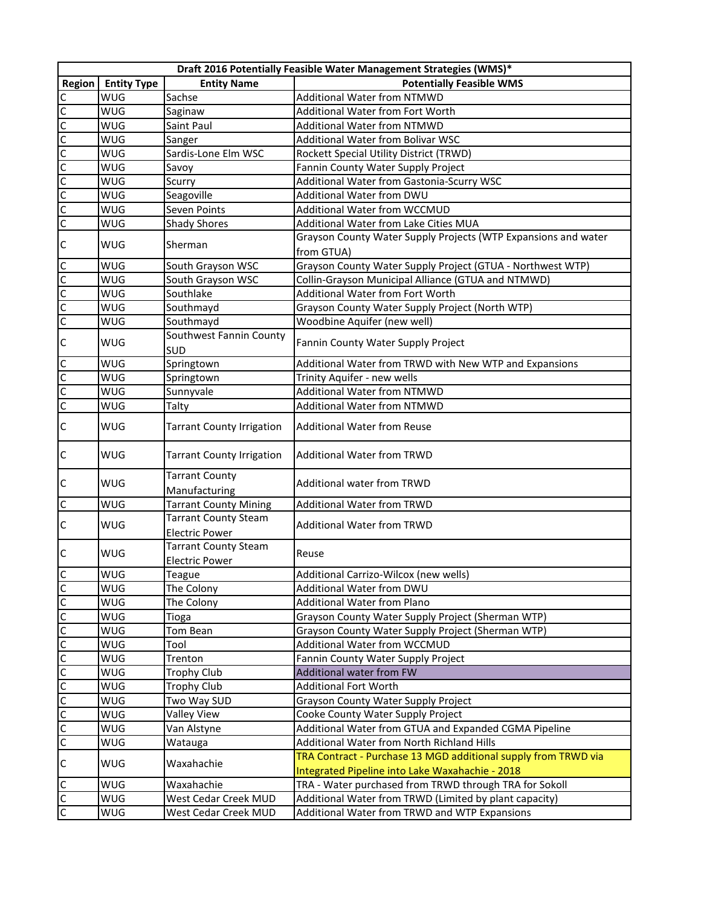|                         | Draft 2016 Potentially Feasible Water Management Strategies (WMS)* |                                                      |                                                                |  |
|-------------------------|--------------------------------------------------------------------|------------------------------------------------------|----------------------------------------------------------------|--|
| Region                  | <b>Entity Type</b>                                                 | <b>Entity Name</b>                                   | <b>Potentially Feasible WMS</b>                                |  |
|                         | <b>WUG</b>                                                         | Sachse                                               | <b>Additional Water from NTMWD</b>                             |  |
|                         | WUG                                                                | Saginaw                                              | Additional Water from Fort Worth                               |  |
|                         | WUG                                                                | Saint Paul                                           | Additional Water from NTMWD                                    |  |
|                         | WUG                                                                | Sanger                                               | Additional Water from Bolivar WSC                              |  |
|                         | WUG                                                                | Sardis-Lone Elm WSC                                  | Rockett Special Utility District (TRWD)                        |  |
|                         | WUG                                                                | Savoy                                                | Fannin County Water Supply Project                             |  |
| <u>lulululululululu</u> | WUG                                                                | Scurry                                               | Additional Water from Gastonia-Scurry WSC                      |  |
|                         | WUG                                                                | Seagoville                                           | Additional Water from DWU                                      |  |
|                         | <b>WUG</b>                                                         | Seven Points                                         | Additional Water from WCCMUD                                   |  |
|                         | <b>WUG</b>                                                         | <b>Shady Shores</b>                                  | Additional Water from Lake Cities MUA                          |  |
|                         |                                                                    |                                                      | Grayson County Water Supply Projects (WTP Expansions and water |  |
| $\mathsf{C}$            | WUG                                                                | Sherman                                              | from GTUA)                                                     |  |
| 0 0 0 0                 | WUG                                                                | South Grayson WSC                                    | Grayson County Water Supply Project (GTUA - Northwest WTP)     |  |
|                         | WUG                                                                | South Grayson WSC                                    | Collin-Grayson Municipal Alliance (GTUA and NTMWD)             |  |
|                         | WUG                                                                | Southlake                                            | <b>Additional Water from Fort Worth</b>                        |  |
|                         | WUG                                                                | Southmayd                                            | Grayson County Water Supply Project (North WTP)                |  |
|                         | WUG                                                                | Southmayd                                            | Woodbine Aquifer (new well)                                    |  |
| $\mathsf{C}$            | WUG                                                                | Southwest Fannin County<br>SUD                       | Fannin County Water Supply Project                             |  |
|                         | WUG                                                                | Springtown                                           | Additional Water from TRWD with New WTP and Expansions         |  |
|                         | WUG                                                                | Springtown                                           | Trinity Aquifer - new wells                                    |  |
|                         | WUG                                                                | Sunnyvale                                            | <b>Additional Water from NTMWD</b>                             |  |
| $\frac{c}{c}$           | WUG                                                                | Talty                                                | Additional Water from NTMWD                                    |  |
| $\mathsf{C}$            | WUG                                                                | <b>Tarrant County Irrigation</b>                     | <b>Additional Water from Reuse</b>                             |  |
| $\mathsf C$             | WUG                                                                | <b>Tarrant County Irrigation</b>                     | <b>Additional Water from TRWD</b>                              |  |
| $\mathsf{C}$            | WUG                                                                | <b>Tarrant County</b><br>Manufacturing               | Additional water from TRWD                                     |  |
| $\overline{c}$          | WUG                                                                | <b>Tarrant County Mining</b>                         | <b>Additional Water from TRWD</b>                              |  |
| $\mathsf{C}$            | WUG                                                                | <b>Tarrant County Steam</b>                          | Additional Water from TRWD                                     |  |
|                         |                                                                    | <b>Electric Power</b>                                |                                                                |  |
| $\mathsf{C}$            | WUG                                                                | <b>Tarrant County Steam</b><br><b>Electric Power</b> | Reuse                                                          |  |
|                         | WUG                                                                | <b>Teague</b>                                        | Additional Carrizo-Wilcox (new wells)                          |  |
| $\frac{c}{c}$           | WUG                                                                | The Colony                                           | Additional Water from DWU                                      |  |
|                         | WUG                                                                | The Colony                                           | <b>Additional Water from Plano</b>                             |  |
|                         | WUG                                                                | Tioga                                                | Grayson County Water Supply Project (Sherman WTP)              |  |
|                         | WUG                                                                | Tom Bean                                             | Grayson County Water Supply Project (Sherman WTP)              |  |
|                         | WUG                                                                | Tool                                                 | Additional Water from WCCMUD                                   |  |
|                         | WUG                                                                | Trenton                                              | Fannin County Water Supply Project                             |  |
|                         | WUG                                                                | <b>Trophy Club</b>                                   | Additional water from FW                                       |  |
|                         | WUG                                                                | <b>Trophy Club</b>                                   | <b>Additional Fort Worth</b>                                   |  |
|                         | WUG                                                                | Two Way SUD                                          | Grayson County Water Supply Project                            |  |
|                         | WUG                                                                | <b>Valley View</b>                                   | Cooke County Water Supply Project                              |  |
|                         | WUG                                                                | Van Alstyne                                          | Additional Water from GTUA and Expanded CGMA Pipeline          |  |
|                         | WUG                                                                | Watauga                                              | Additional Water from North Richland Hills                     |  |
|                         |                                                                    |                                                      | TRA Contract - Purchase 13 MGD additional supply from TRWD via |  |
| $\mathsf{C}$            | WUG                                                                | Waxahachie                                           | Integrated Pipeline into Lake Waxahachie - 2018                |  |
|                         | WUG                                                                | Waxahachie                                           | TRA - Water purchased from TRWD through TRA for Sokoll         |  |
| $\frac{1}{2}$           | WUG                                                                | West Cedar Creek MUD                                 | Additional Water from TRWD (Limited by plant capacity)         |  |
|                         | WUG                                                                | West Cedar Creek MUD                                 | Additional Water from TRWD and WTP Expansions                  |  |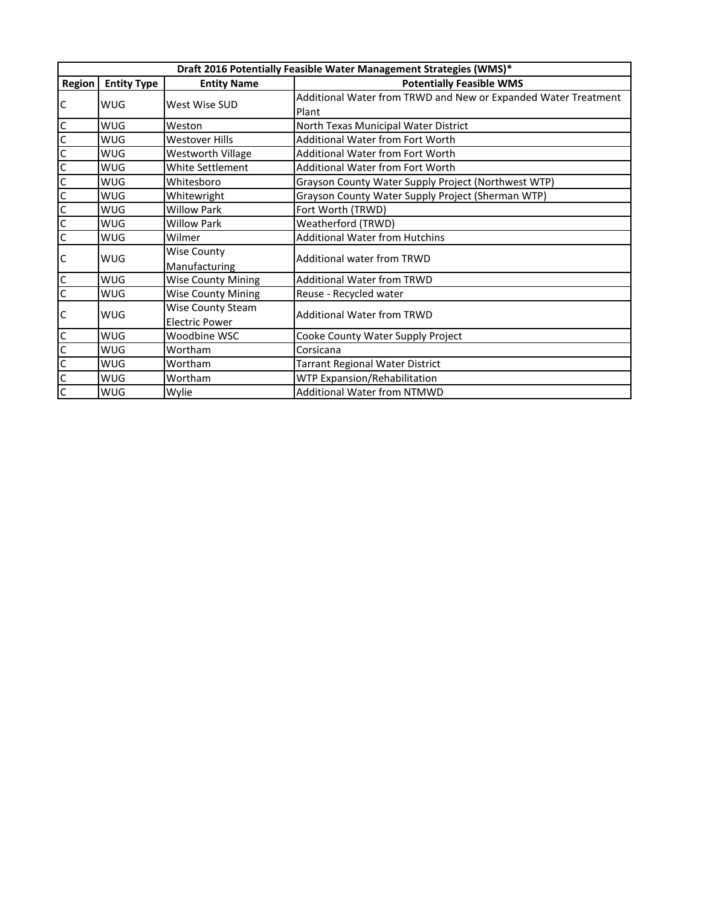|                      | Draft 2016 Potentially Feasible Water Management Strategies (WMS)* |                           |                                                                |  |
|----------------------|--------------------------------------------------------------------|---------------------------|----------------------------------------------------------------|--|
| Region               | <b>Entity Type</b>                                                 | <b>Entity Name</b>        | <b>Potentially Feasible WMS</b>                                |  |
|                      |                                                                    |                           | Additional Water from TRWD and New or Expanded Water Treatment |  |
| $\mathsf C$          | WUG                                                                | West Wise SUD             | Plant                                                          |  |
|                      | WUG                                                                | Weston                    | North Texas Municipal Water District                           |  |
|                      | WUG                                                                | <b>Westover Hills</b>     | Additional Water from Fort Worth                               |  |
| <u>ululululululu</u> | WUG                                                                | <b>Westworth Village</b>  | Additional Water from Fort Worth                               |  |
|                      | WUG                                                                | White Settlement          | Additional Water from Fort Worth                               |  |
|                      | WUG                                                                | Whitesboro                | Grayson County Water Supply Project (Northwest WTP)            |  |
|                      | WUG                                                                | Whitewright               | Grayson County Water Supply Project (Sherman WTP)              |  |
|                      | WUG                                                                | <b>Willow Park</b>        | Fort Worth (TRWD)                                              |  |
|                      | WUG                                                                | <b>Willow Park</b>        | Weatherford (TRWD)                                             |  |
|                      | WUG                                                                | Wilmer                    | <b>Additional Water from Hutchins</b>                          |  |
|                      | WUG                                                                | Wise County               | <b>Additional water from TRWD</b>                              |  |
| $\mathsf{C}$         |                                                                    | Manufacturing             |                                                                |  |
| $\mathsf{C}$         | WUG                                                                | <b>Wise County Mining</b> | <b>Additional Water from TRWD</b>                              |  |
| $\overline{c}$       | WUG                                                                | <b>Wise County Mining</b> | Reuse - Recycled water                                         |  |
|                      |                                                                    | Wise County Steam         | <b>Additional Water from TRWD</b>                              |  |
| $\mathsf{C}$         | WUG                                                                | <b>Electric Power</b>     |                                                                |  |
|                      | WUG                                                                | Woodbine WSC              | Cooke County Water Supply Project                              |  |
|                      | WUG                                                                | Wortham                   | Corsicana                                                      |  |
|                      | WUG                                                                | Wortham                   | <b>Tarrant Regional Water District</b>                         |  |
|                      | WUG                                                                | Wortham                   | WTP Expansion/Rehabilitation                                   |  |
|                      | WUG                                                                | Wylie                     | <b>Additional Water from NTMWD</b>                             |  |